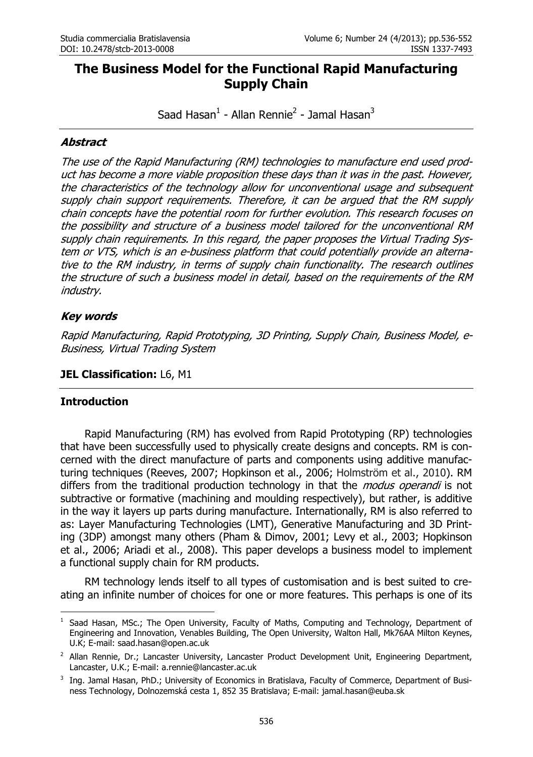# **The Business Model for the Functional Rapid Manufacturing Supply Chain**

Saad Hasan<sup>1</sup> - Allan Rennie<sup>2</sup> - Jamal Hasan<sup>3</sup>

#### **Abstract**

The use of the Rapid Manufacturing (RM) technologies to manufacture end used product has become a more viable proposition these days than it was in the past. However, the characteristics of the technology allow for unconventional usage and subsequent supply chain support requirements. Therefore, it can be argued that the RM supply chain concepts have the potential room for further evolution. This research focuses on the possibility and structure of a business model tailored for the unconventional RM supply chain requirements. In this regard, the paper proposes the Virtual Trading System or VTS, which is an e-business platform that could potentially provide an alternative to the RM industry, in terms of supply chain functionality. The research outlines the structure of such a business model in detail, based on the requirements of the RM industry.

#### **Key words**

Rapid Manufacturing, Rapid Prototyping, 3D Printing, Supply Chain, Business Model, e-Business, Virtual Trading System

#### **JEL Classification:** L6, M1

### **Introduction**

Rapid Manufacturing (RM) has evolved from Rapid Prototyping (RP) technologies that have been successfully used to physically create designs and concepts. RM is concerned with the direct manufacture of parts and components using additive manufacturing techniques (Reeves, 2007; Hopkinson et al., 2006; Holmström et al., 2010). RM differs from the traditional production technology in that the *modus operandi* is not subtractive or formative (machining and moulding respectively), but rather, is additive in the way it layers up parts during manufacture. Internationally, RM is also referred to as: Layer Manufacturing Technologies (LMT), Generative Manufacturing and 3D Printing (3DP) amongst many others (Pham & Dimov, 2001; Levy et al., 2003; Hopkinson et al., 2006; Ariadi et al., 2008). This paper develops a business model to implement a functional supply chain for RM products.

RM technology lends itself to all types of customisation and is best suited to creating an infinite number of choices for one or more features. This perhaps is one of its

<sup>-</sup><sup>1</sup> Saad Hasan, MSc.; The Open University, Faculty of Maths, Computing and Technology, Department of Engineering and Innovation, Venables Building, The Open University, Walton Hall, Mk76AA Milton Keynes, U.K; E-mail: saad.hasan@open.ac.uk

<sup>&</sup>lt;sup>2</sup> Allan Rennie, Dr.; Lancaster University, Lancaster Product Development Unit, Engineering Department, Lancaster, U.K.; E-mail: a.rennie@lancaster.ac.uk

<sup>3</sup> Ing. Jamal Hasan, PhD.; University of Economics in Bratislava, Faculty of Commerce, Department of Business Technology, Dolnozemská cesta 1, 852 35 Bratislava; E-mail: jamal.hasan@euba.sk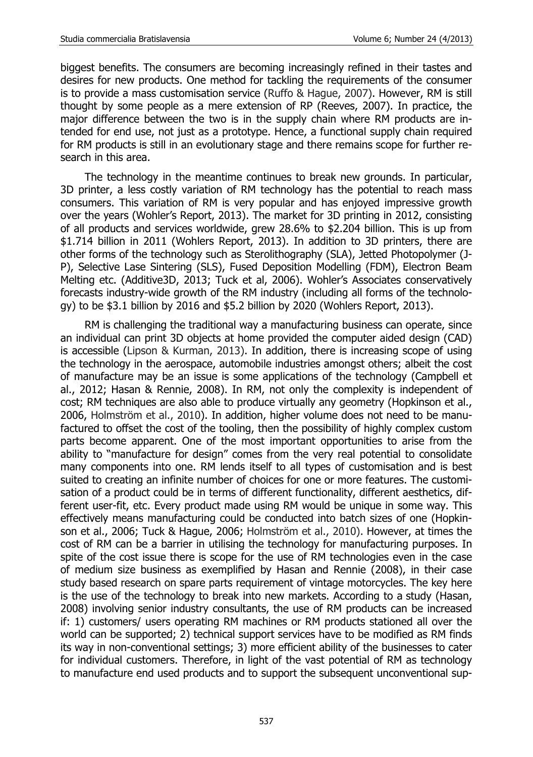biggest benefits. The consumers are becoming increasingly refined in their tastes and desires for new products. One method for tackling the requirements of the consumer is to provide a mass customisation service (Ruffo & Hague, 2007). However, RM is still thought by some people as a mere extension of RP (Reeves, 2007). In practice, the major difference between the two is in the supply chain where RM products are intended for end use, not just as a prototype. Hence, a functional supply chain required for RM products is still in an evolutionary stage and there remains scope for further research in this area.

The technology in the meantime continues to break new grounds. In particular, 3D printer, a less costly variation of RM technology has the potential to reach mass consumers. This variation of RM is very popular and has enjoyed impressive growth over the years (Wohler's Report, 2013). The market for 3D printing in 2012, consisting of all products and services worldwide, grew 28.6% to \$2.204 billion. This is up from \$1.714 billion in 2011 (Wohlers Report, 2013). In addition to 3D printers, there are other forms of the technology such as Sterolithography (SLA), Jetted Photopolymer (J-P), Selective Lase Sintering (SLS), Fused Deposition Modelling (FDM), Electron Beam Melting etc. (Additive3D, 2013; Tuck et al, 2006). Wohler's Associates conservatively forecasts industry-wide growth of the RM industry (including all forms of the technology) to be \$3.1 billion by 2016 and \$5.2 billion by 2020 (Wohlers Report, 2013).

RM is challenging the traditional way a manufacturing business can operate, since an individual can print 3D objects at home provided the computer aided design (CAD) is accessible (Lipson & Kurman, 2013). In addition, there is increasing scope of using the technology in the aerospace, automobile industries amongst others; albeit the cost of manufacture may be an issue is some applications of the technology (Campbell et al., 2012; Hasan & Rennie, 2008). In RM, not only the complexity is independent of cost; RM techniques are also able to produce virtually any geometry (Hopkinson et al., 2006, Holmström et al., 2010). In addition, higher volume does not need to be manufactured to offset the cost of the tooling, then the possibility of highly complex custom parts become apparent. One of the most important opportunities to arise from the ability to "manufacture for design" comes from the very real potential to consolidate many components into one. RM lends itself to all types of customisation and is best suited to creating an infinite number of choices for one or more features. The customisation of a product could be in terms of different functionality, different aesthetics, different user-fit, etc. Every product made using RM would be unique in some way. This effectively means manufacturing could be conducted into batch sizes of one (Hopkinson et al., 2006; Tuck & Hague, 2006; Holmström et al., 2010). However, at times the cost of RM can be a barrier in utilising the technology for manufacturing purposes. In spite of the cost issue there is scope for the use of RM technologies even in the case of medium size business as exemplified by Hasan and Rennie (2008), in their case study based research on spare parts requirement of vintage motorcycles. The key here is the use of the technology to break into new markets. According to a study (Hasan, 2008) involving senior industry consultants, the use of RM products can be increased if: 1) customers/ users operating RM machines or RM products stationed all over the world can be supported; 2) technical support services have to be modified as RM finds its way in non-conventional settings; 3) more efficient ability of the businesses to cater for individual customers. Therefore, in light of the vast potential of RM as technology to manufacture end used products and to support the subsequent unconventional sup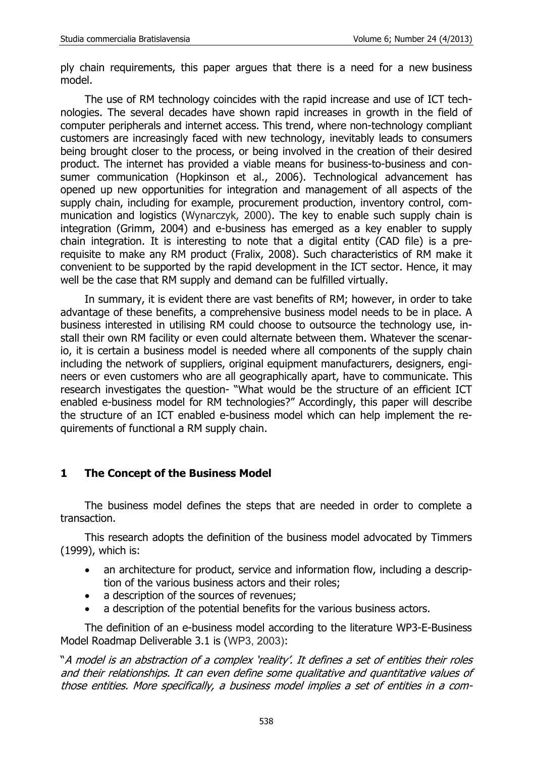ply chain requirements, this paper argues that there is a need for a new business model.

The use of RM technology coincides with the rapid increase and use of ICT technologies. The several decades have shown rapid increases in growth in the field of computer peripherals and internet access. This trend, where non-technology compliant customers are increasingly faced with new technology, inevitably leads to consumers being brought closer to the process, or being involved in the creation of their desired product. The internet has provided a viable means for business-to-business and consumer communication (Hopkinson et al., 2006). Technological advancement has opened up new opportunities for integration and management of all aspects of the supply chain, including for example, procurement production, inventory control, communication and logistics (Wynarczyk, 2000). The key to enable such supply chain is integration (Grimm, 2004) and e-business has emerged as a key enabler to supply chain integration. It is interesting to note that a digital entity (CAD file) is a prerequisite to make any RM product (Fralix, 2008). Such characteristics of RM make it convenient to be supported by the rapid development in the ICT sector. Hence, it may well be the case that RM supply and demand can be fulfilled virtually.

In summary, it is evident there are vast benefits of RM; however, in order to take advantage of these benefits, a comprehensive business model needs to be in place. A business interested in utilising RM could choose to outsource the technology use, install their own RM facility or even could alternate between them. Whatever the scenario, it is certain a business model is needed where all components of the supply chain including the network of suppliers, original equipment manufacturers, designers, engineers or even customers who are all geographically apart, have to communicate. This research investigates the question- "What would be the structure of an efficient ICT enabled e-business model for RM technologies?" Accordingly, this paper will describe the structure of an ICT enabled e-business model which can help implement the requirements of functional a RM supply chain.

### **1 The Concept of the Business Model**

The business model defines the steps that are needed in order to complete a transaction.

This research adopts the definition of the business model advocated by Timmers (1999), which is:

- an architecture for product, service and information flow, including a description of the various business actors and their roles;
- a description of the sources of revenues;
- a description of the potential benefits for the various business actors.

The definition of an e-business model according to the literature WP3-E-Business Model Roadmap Deliverable 3.1 is (WP3, 2003):

"A model is an abstraction of a complex 'reality'. It defines a set of entities their roles and their relationships. It can even define some qualitative and quantitative values of those entities. More specifically, a business model implies a set of entities in a com-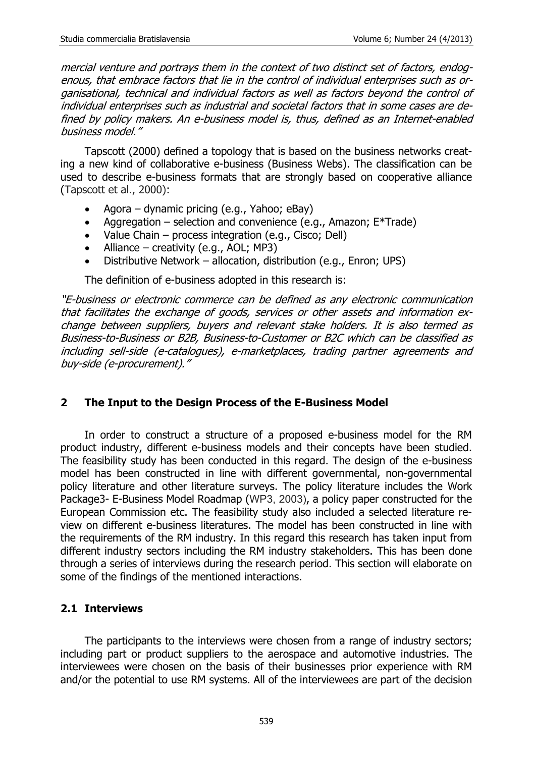mercial venture and portrays them in the context of two distinct set of factors, endogenous, that embrace factors that lie in the control of individual enterprises such as organisational, technical and individual factors as well as factors beyond the control of individual enterprises such as industrial and societal factors that in some cases are defined by policy makers. An e-business model is, thus, defined as an Internet-enabled business model."

Tapscott (2000) defined a topology that is based on the business networks creating a new kind of collaborative e-business (Business Webs). The classification can be used to describe e-business formats that are strongly based on cooperative alliance (Tapscott et al., 2000):

- Agora dynamic pricing (e.g., Yahoo; eBay)
- Aggregation selection and convenience (e.g., Amazon; E\*Trade)
- Value Chain process integration (e.g., Cisco; Dell)
- Alliance creativity (e.g., AOL; MP3)
- Distributive Network allocation, distribution (e.g., Enron; UPS)

The definition of e-business adopted in this research is:

"E-business or electronic commerce can be defined as any electronic communication that facilitates the exchange of goods, services or other assets and information exchange between suppliers, buyers and relevant stake holders. It is also termed as Business-to-Business or B2B, Business-to-Customer or B2C which can be classified as including sell-side (e-catalogues), e-marketplaces, trading partner agreements and buy-side (e-procurement)."

### **2 The Input to the Design Process of the E-Business Model**

In order to construct a structure of a proposed e-business model for the RM product industry, different e-business models and their concepts have been studied. The feasibility study has been conducted in this regard. The design of the e-business model has been constructed in line with different governmental, non-governmental policy literature and other literature surveys. The policy literature includes the Work Package3- E-Business Model Roadmap (WP3, 2003), a policy paper constructed for the European Commission etc. The feasibility study also included a selected literature review on different e-business literatures. The model has been constructed in line with the requirements of the RM industry. In this regard this research has taken input from different industry sectors including the RM industry stakeholders. This has been done through a series of interviews during the research period. This section will elaborate on some of the findings of the mentioned interactions.

#### **2.1 Interviews**

The participants to the interviews were chosen from a range of industry sectors; including part or product suppliers to the aerospace and automotive industries. The interviewees were chosen on the basis of their businesses prior experience with RM and/or the potential to use RM systems. All of the interviewees are part of the decision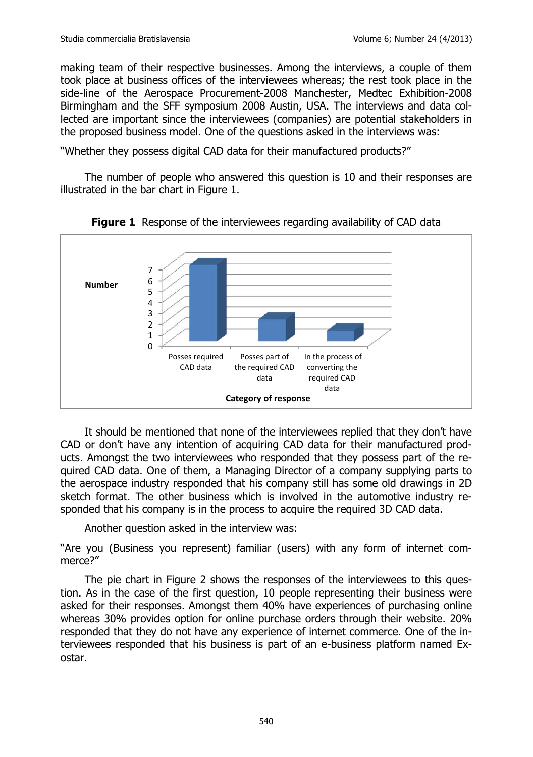making team of their respective businesses. Among the interviews, a couple of them took place at business offices of the interviewees whereas; the rest took place in the side-line of the Aerospace Procurement-2008 Manchester, Medtec Exhibition-2008 Birmingham and the SFF symposium 2008 Austin, USA. The interviews and data collected are important since the interviewees (companies) are potential stakeholders in the proposed business model. One of the questions asked in the interviews was:

"Whether they possess digital CAD data for their manufactured products?"

The number of people who answered this question is 10 and their responses are illustrated in the bar chart in Figure 1.



**Figure 1** Response of the interviewees regarding availability of CAD data

It should be mentioned that none of the interviewees replied that they don't have CAD or don't have any intention of acquiring CAD data for their manufactured products. Amongst the two interviewees who responded that they possess part of the required CAD data. One of them, a Managing Director of a company supplying parts to the aerospace industry responded that his company still has some old drawings in 2D sketch format. The other business which is involved in the automotive industry responded that his company is in the process to acquire the required 3D CAD data.

Another question asked in the interview was:

"Are you (Business you represent) familiar (users) with any form of internet commerce?"

The pie chart in Figure 2 shows the responses of the interviewees to this question. As in the case of the first question, 10 people representing their business were asked for their responses. Amongst them 40% have experiences of purchasing online whereas 30% provides option for online purchase orders through their website. 20% responded that they do not have any experience of internet commerce. One of the interviewees responded that his business is part of an e-business platform named Exostar.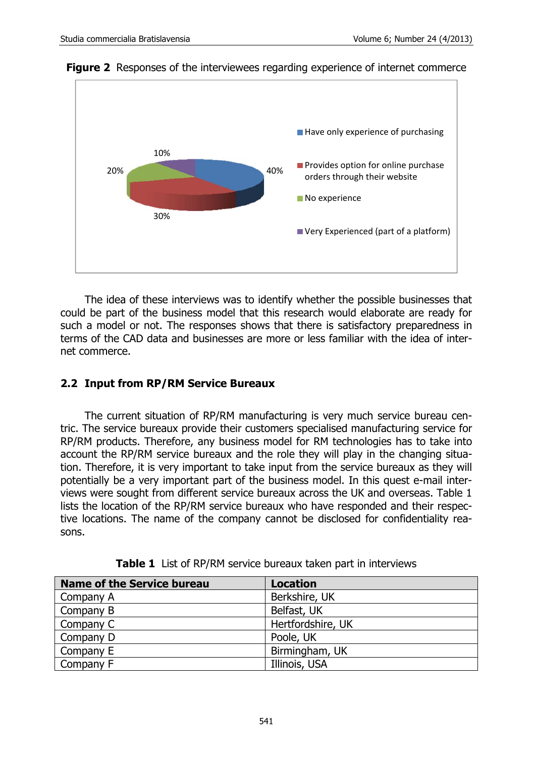

#### **Figure 2** Responses of the interviewees regarding experience of internet commerce

The idea of these interviews was to identify whether the possible businesses that could be part of the business model that this research would elaborate are ready for such a model or not. The responses shows that there is satisfactory preparedness in terms of the CAD data and businesses are more or less familiar with the idea of internet commerce.

#### **2.2 Input from RP/RM Service Bureaux**

The current situation of RP/RM manufacturing is very much service bureau centric. The service bureaux provide their customers specialised manufacturing service for RP/RM products. Therefore, any business model for RM technologies has to take into account the RP/RM service bureaux and the role they will play in the changing situation. Therefore, it is very important to take input from the service bureaux as they will potentially be a very important part of the business model. In this quest e-mail interviews were sought from different service bureaux across the UK and overseas. Table 1 lists the location of the RP/RM service bureaux who have responded and their respective locations. The name of the company cannot be disclosed for confidentiality reasons.

| <b>Name of the Service bureau</b> | <b>Location</b>   |
|-----------------------------------|-------------------|
| Company A                         | Berkshire, UK     |
| Company B                         | Belfast, UK       |
| Company C                         | Hertfordshire, UK |
| Company D                         | Poole, UK         |
| Company E                         | Birmingham, UK    |
| Company F                         | Illinois, USA     |

**Table 1** List of RP/RM service bureaux taken part in interviews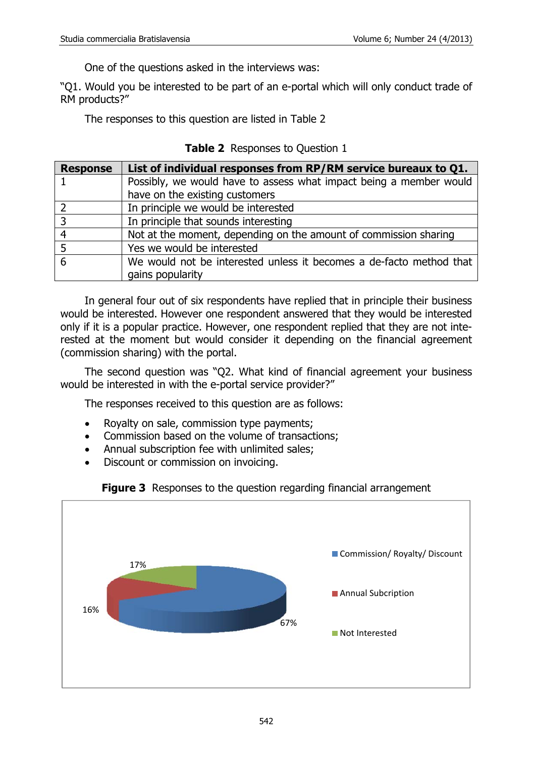One of the questions asked in the interviews was:

"Q1. Would you be interested to be part of an e-portal which will only conduct trade of RM products?"

The responses to this question are listed in Table 2

| <b>Response</b> | List of individual responses from RP/RM service bureaux to Q1.      |
|-----------------|---------------------------------------------------------------------|
|                 | Possibly, we would have to assess what impact being a member would  |
|                 | have on the existing customers                                      |
|                 | In principle we would be interested                                 |
|                 | In principle that sounds interesting                                |
|                 | Not at the moment, depending on the amount of commission sharing    |
|                 | Yes we would be interested                                          |
| -6              | We would not be interested unless it becomes a de-facto method that |
|                 | gains popularity                                                    |

#### **Table 2** Responses to Ouestion 1

In general four out of six respondents have replied that in principle their business would be interested. However one respondent answered that they would be interested only if it is a popular practice. However, one respondent replied that they are not interested at the moment but would consider it depending on the financial agreement (commission sharing) with the portal.

The second question was "Q2. What kind of financial agreement your business would be interested in with the e-portal service provider?"

The responses received to this question are as follows:

- Royalty on sale, commission type payments;
- Commission based on the volume of transactions;
- Annual subscription fee with unlimited sales:
- Discount or commission on invoicing.



#### **Figure 3** Responses to the question regarding financial arrangement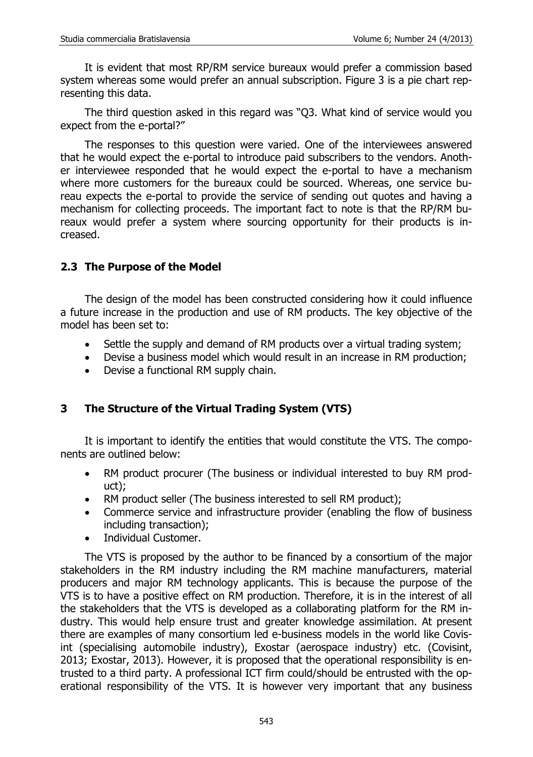It is evident that most RP/RM service bureaux would prefer a commission based system whereas some would prefer an annual subscription. Figure 3 is a pie chart representing this data.

The third question asked in this regard was "Q3. What kind of service would you expect from the e-portal?"

The responses to this question were varied. One of the interviewees answered that he would expect the e-portal to introduce paid subscribers to the vendors. Another interviewee responded that he would expect the e-portal to have a mechanism where more customers for the bureaux could be sourced. Whereas, one service bureau expects the e-portal to provide the service of sending out quotes and having a mechanism for collecting proceeds. The important fact to note is that the RP/RM bureaux would prefer a system where sourcing opportunity for their products is increased.

## **2.3 The Purpose of the Model**

The design of the model has been constructed considering how it could influence a future increase in the production and use of RM products. The key objective of the model has been set to:

- Settle the supply and demand of RM products over a virtual trading system;
- Devise a business model which would result in an increase in RM production;
- Devise a functional RM supply chain.

## **3 The Structure of the Virtual Trading System (VTS)**

It is important to identify the entities that would constitute the VTS. The components are outlined below:

- RM product procurer (The business or individual interested to buy RM product);
- RM product seller (The business interested to sell RM product);
- Commerce service and infrastructure provider (enabling the flow of business including transaction);
- Individual Customer.

The VTS is proposed by the author to be financed by a consortium of the major stakeholders in the RM industry including the RM machine manufacturers, material producers and major RM technology applicants. This is because the purpose of the VTS is to have a positive effect on RM production. Therefore, it is in the interest of all the stakeholders that the VTS is developed as a collaborating platform for the RM industry. This would help ensure trust and greater knowledge assimilation. At present there are examples of many consortium led e-business models in the world like Covisint (specialising automobile industry), Exostar (aerospace industry) etc. (Covisint, 2013; Exostar, 2013). However, it is proposed that the operational responsibility is entrusted to a third party. A professional ICT firm could/should be entrusted with the operational responsibility of the VTS. It is however very important that any business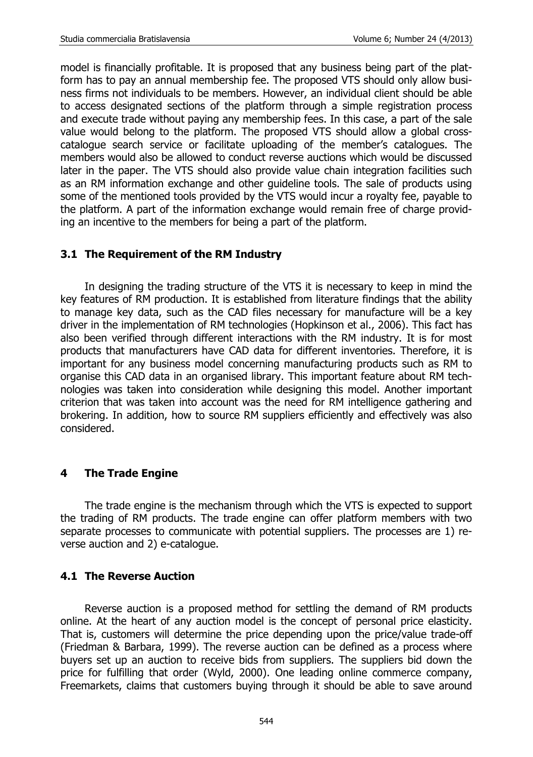model is financially profitable. It is proposed that any business being part of the platform has to pay an annual membership fee. The proposed VTS should only allow business firms not individuals to be members. However, an individual client should be able to access designated sections of the platform through a simple registration process and execute trade without paying any membership fees. In this case, a part of the sale value would belong to the platform. The proposed VTS should allow a global crosscatalogue search service or facilitate uploading of the member's catalogues. The members would also be allowed to conduct reverse auctions which would be discussed later in the paper. The VTS should also provide value chain integration facilities such as an RM information exchange and other guideline tools. The sale of products using some of the mentioned tools provided by the VTS would incur a royalty fee, payable to the platform. A part of the information exchange would remain free of charge providing an incentive to the members for being a part of the platform.

### **3.1 The Requirement of the RM Industry**

In designing the trading structure of the VTS it is necessary to keep in mind the key features of RM production. It is established from literature findings that the ability to manage key data, such as the CAD files necessary for manufacture will be a key driver in the implementation of RM technologies (Hopkinson et al., 2006). This fact has also been verified through different interactions with the RM industry. It is for most products that manufacturers have CAD data for different inventories. Therefore, it is important for any business model concerning manufacturing products such as RM to organise this CAD data in an organised library. This important feature about RM technologies was taken into consideration while designing this model. Another important criterion that was taken into account was the need for RM intelligence gathering and brokering. In addition, how to source RM suppliers efficiently and effectively was also considered.

### **4 The Trade Engine**

The trade engine is the mechanism through which the VTS is expected to support the trading of RM products. The trade engine can offer platform members with two separate processes to communicate with potential suppliers. The processes are 1) reverse auction and 2) e-catalogue.

### **4.1 The Reverse Auction**

Reverse auction is a proposed method for settling the demand of RM products online. At the heart of any auction model is the concept of personal price elasticity. That is, customers will determine the price depending upon the price/value trade-off (Friedman & Barbara, 1999). The reverse auction can be defined as a process where buyers set up an auction to receive bids from suppliers. The suppliers bid down the price for fulfilling that order (Wyld, 2000). One leading online commerce company, Freemarkets, claims that customers buying through it should be able to save around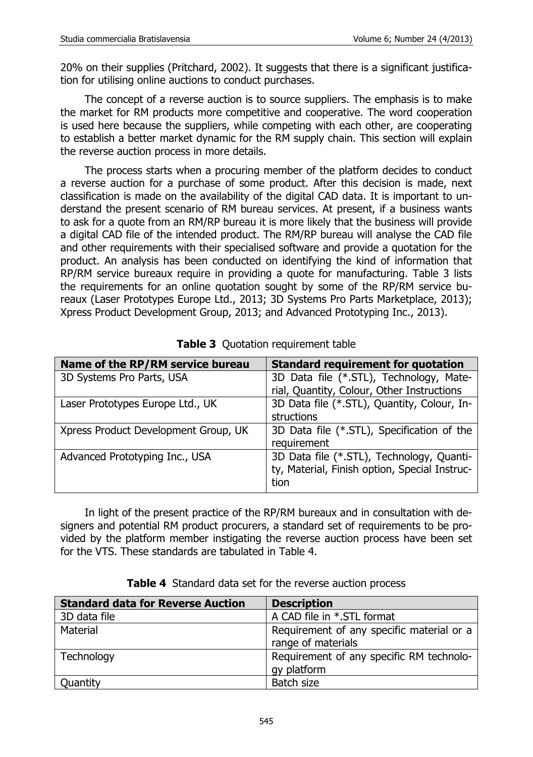20% on their supplies (Pritchard, 2002). It suggests that there is a significant justification for utilising online auctions to conduct purchases.

The concept of a reverse auction is to source suppliers. The emphasis is to make the market for RM products more competitive and cooperative. The word cooperation is used here because the suppliers, while competing with each other, are cooperating to establish a better market dynamic for the RM supply chain. This section will explain the reverse auction process in more details.

The process starts when a procuring member of the platform decides to conduct a reverse auction for a purchase of some product. After this decision is made, next classification is made on the availability of the digital CAD data. It is important to understand the present scenario of RM bureau services. At present, if a business wants to ask for a quote from an RM/RP bureau it is more likely that the business will provide a digital CAD file of the intended product. The RM/RP bureau will analyse the CAD file and other requirements with their specialised software and provide a quotation for the product. An analysis has been conducted on identifying the kind of information that RP/RM service bureaux require in providing a quote for manufacturing. Table 3 lists the requirements for an online quotation sought by some of the RP/RM service bureaux (Laser Prototypes Europe Ltd., 2013; 3D Systems Pro Parts Marketplace, 2013); Xpress Product Development Group, 2013; and Advanced Prototyping Inc., 2013).

| Name of the RP/RM service bureau     | <b>Standard requirement for quotation</b>     |
|--------------------------------------|-----------------------------------------------|
| 3D Systems Pro Parts, USA            | 3D Data file (*.STL), Technology, Mate-       |
|                                      | rial, Quantity, Colour, Other Instructions    |
| Laser Prototypes Europe Ltd., UK     | 3D Data file (*.STL), Quantity, Colour, In-   |
|                                      | structions                                    |
| Xpress Product Development Group, UK | 3D Data file (*.STL), Specification of the    |
|                                      | requirement                                   |
| Advanced Prototyping Inc., USA       | 3D Data file (*.STL), Technology, Quanti-     |
|                                      | ty, Material, Finish option, Special Instruc- |
|                                      | tion                                          |

|  |  | <b>Table 3</b> Quotation requirement table |
|--|--|--------------------------------------------|
|--|--|--------------------------------------------|

In light of the present practice of the RP/RM bureaux and in consultation with designers and potential RM product procurers, a standard set of requirements to be provided by the platform member instigating the reverse auction process have been set for the VTS. These standards are tabulated in Table 4.

| <b>Standard data for Reverse Auction</b> | <b>Description</b>                                              |
|------------------------------------------|-----------------------------------------------------------------|
| 3D data file                             | A CAD file in *.STL format                                      |
| Material                                 | Requirement of any specific material or a<br>range of materials |
| Technology                               | Requirement of any specific RM technolo-<br>gy platform         |
| Quantity                                 | Batch size                                                      |

**Table 4** Standard data set for the reverse auction process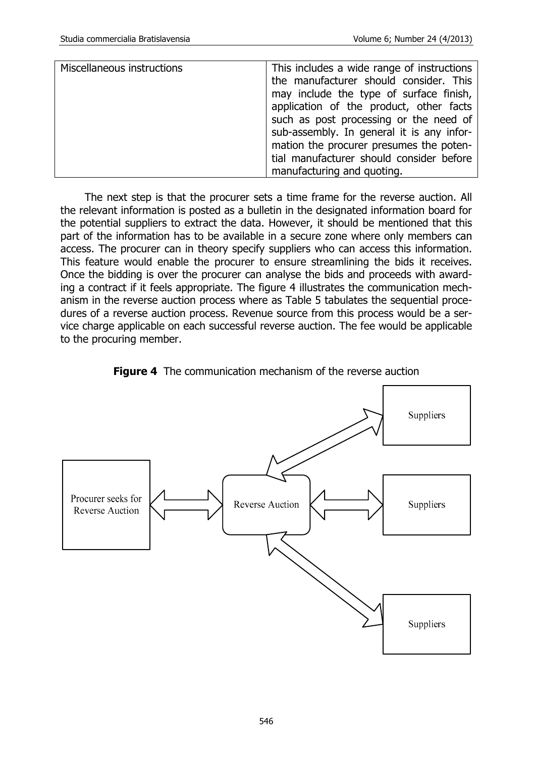| Miscellaneous instructions | This includes a wide range of instructions |
|----------------------------|--------------------------------------------|
|                            | the manufacturer should consider. This     |
|                            | may include the type of surface finish,    |
|                            | application of the product, other facts    |
|                            | such as post processing or the need of     |
|                            | sub-assembly. In general it is any infor-  |
|                            | mation the procurer presumes the poten-    |
|                            | tial manufacturer should consider before   |
|                            | manufacturing and quoting.                 |

The next step is that the procurer sets a time frame for the reverse auction. All the relevant information is posted as a bulletin in the designated information board for the potential suppliers to extract the data. However, it should be mentioned that this part of the information has to be available in a secure zone where only members can access. The procurer can in theory specify suppliers who can access this information. This feature would enable the procurer to ensure streamlining the bids it receives. Once the bidding is over the procurer can analyse the bids and proceeds with awarding a contract if it feels appropriate. The figure 4 illustrates the communication mechanism in the reverse auction process where as Table 5 tabulates the sequential procedures of a reverse auction process. Revenue source from this process would be a service charge applicable on each successful reverse auction. The fee would be applicable to the procuring member.



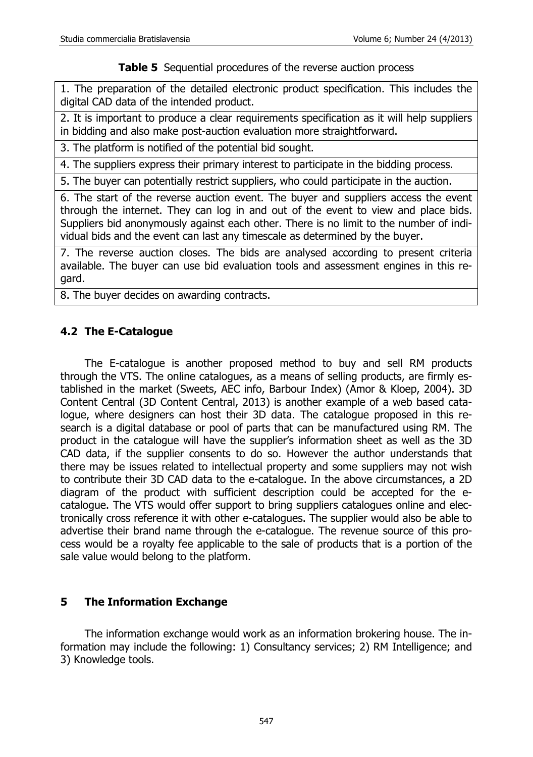**Table 5** Sequential procedures of the reverse auction process

1. The preparation of the detailed electronic product specification. This includes the digital CAD data of the intended product.

2. It is important to produce a clear requirements specification as it will help suppliers in bidding and also make post-auction evaluation more straightforward.

3. The platform is notified of the potential bid sought.

4. The suppliers express their primary interest to participate in the bidding process.

5. The buyer can potentially restrict suppliers, who could participate in the auction.

6. The start of the reverse auction event. The buyer and suppliers access the event through the internet. They can log in and out of the event to view and place bids. Suppliers bid anonymously against each other. There is no limit to the number of individual bids and the event can last any timescale as determined by the buyer.

7. The reverse auction closes. The bids are analysed according to present criteria available. The buyer can use bid evaluation tools and assessment engines in this regard.

8. The buyer decides on awarding contracts.

## **4.2 The E-Catalogue**

The E-catalogue is another proposed method to buy and sell RM products through the VTS. The online catalogues, as a means of selling products, are firmly established in the market (Sweets, AEC info, Barbour Index) (Amor & Kloep, 2004). 3D Content Central (3D Content Central, 2013) is another example of a web based catalogue, where designers can host their 3D data. The catalogue proposed in this research is a digital database or pool of parts that can be manufactured using RM. The product in the catalogue will have the supplier's information sheet as well as the 3D CAD data, if the supplier consents to do so. However the author understands that there may be issues related to intellectual property and some suppliers may not wish to contribute their 3D CAD data to the e-catalogue. In the above circumstances, a 2D diagram of the product with sufficient description could be accepted for the ecatalogue. The VTS would offer support to bring suppliers catalogues online and electronically cross reference it with other e-catalogues. The supplier would also be able to advertise their brand name through the e-catalogue. The revenue source of this process would be a royalty fee applicable to the sale of products that is a portion of the sale value would belong to the platform.

## **5 The Information Exchange**

The information exchange would work as an information brokering house. The information may include the following: 1) Consultancy services; 2) RM Intelligence; and 3) Knowledge tools.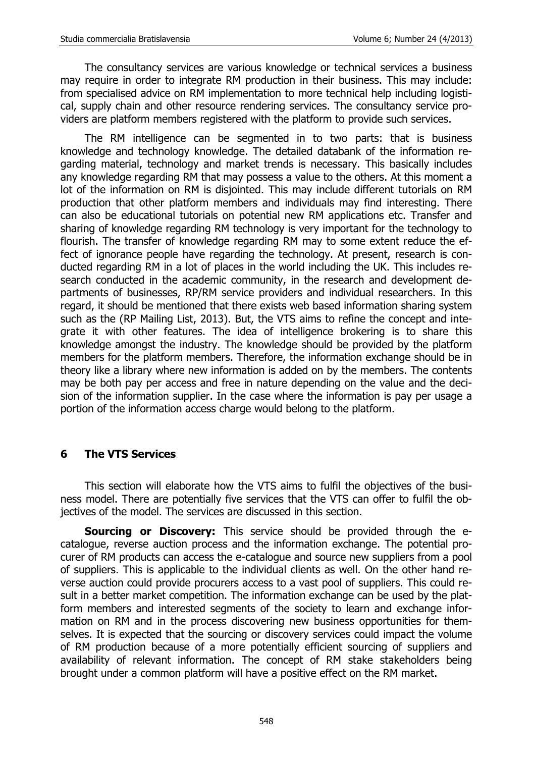The consultancy services are various knowledge or technical services a business may require in order to integrate RM production in their business. This may include: from specialised advice on RM implementation to more technical help including logistical, supply chain and other resource rendering services. The consultancy service providers are platform members registered with the platform to provide such services.

The RM intelligence can be segmented in to two parts: that is business knowledge and technology knowledge. The detailed databank of the information regarding material, technology and market trends is necessary. This basically includes any knowledge regarding RM that may possess a value to the others. At this moment a lot of the information on RM is disjointed. This may include different tutorials on RM production that other platform members and individuals may find interesting. There can also be educational tutorials on potential new RM applications etc. Transfer and sharing of knowledge regarding RM technology is very important for the technology to flourish. The transfer of knowledge regarding RM may to some extent reduce the effect of ignorance people have regarding the technology. At present, research is conducted regarding RM in a lot of places in the world including the UK. This includes research conducted in the academic community, in the research and development departments of businesses, RP/RM service providers and individual researchers. In this regard, it should be mentioned that there exists web based information sharing system such as the (RP Mailing List, 2013). But, the VTS aims to refine the concept and integrate it with other features. The idea of intelligence brokering is to share this knowledge amongst the industry. The knowledge should be provided by the platform members for the platform members. Therefore, the information exchange should be in theory like a library where new information is added on by the members. The contents may be both pay per access and free in nature depending on the value and the decision of the information supplier. In the case where the information is pay per usage a portion of the information access charge would belong to the platform.

### **6 The VTS Services**

This section will elaborate how the VTS aims to fulfil the objectives of the business model. There are potentially five services that the VTS can offer to fulfil the objectives of the model. The services are discussed in this section.

**Sourcing or Discovery:** This service should be provided through the ecatalogue, reverse auction process and the information exchange. The potential procurer of RM products can access the e-catalogue and source new suppliers from a pool of suppliers. This is applicable to the individual clients as well. On the other hand reverse auction could provide procurers access to a vast pool of suppliers. This could result in a better market competition. The information exchange can be used by the platform members and interested segments of the society to learn and exchange information on RM and in the process discovering new business opportunities for themselves. It is expected that the sourcing or discovery services could impact the volume of RM production because of a more potentially efficient sourcing of suppliers and availability of relevant information. The concept of RM stake stakeholders being brought under a common platform will have a positive effect on the RM market.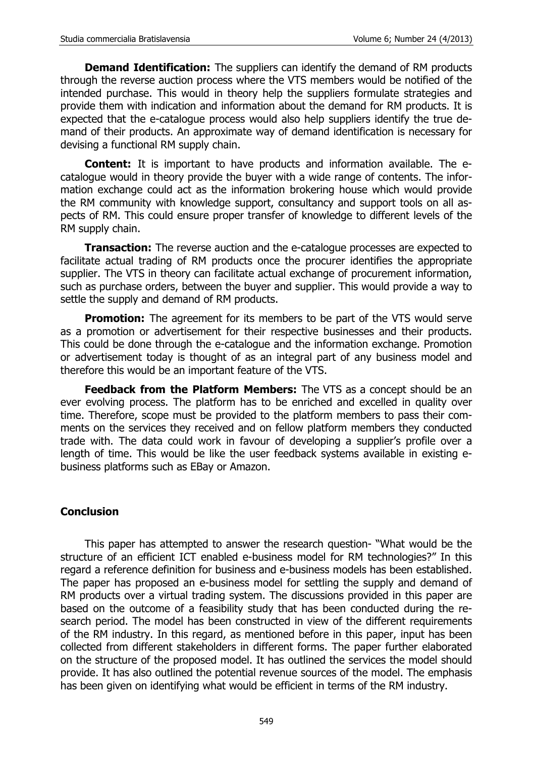**Demand Identification:** The suppliers can identify the demand of RM products through the reverse auction process where the VTS members would be notified of the intended purchase. This would in theory help the suppliers formulate strategies and provide them with indication and information about the demand for RM products. It is expected that the e-catalogue process would also help suppliers identify the true demand of their products. An approximate way of demand identification is necessary for devising a functional RM supply chain.

**Content:** It is important to have products and information available. The ecatalogue would in theory provide the buyer with a wide range of contents. The information exchange could act as the information brokering house which would provide the RM community with knowledge support, consultancy and support tools on all aspects of RM. This could ensure proper transfer of knowledge to different levels of the RM supply chain.

**Transaction:** The reverse auction and the e-catalogue processes are expected to facilitate actual trading of RM products once the procurer identifies the appropriate supplier. The VTS in theory can facilitate actual exchange of procurement information, such as purchase orders, between the buyer and supplier. This would provide a way to settle the supply and demand of RM products.

**Promotion:** The agreement for its members to be part of the VTS would serve as a promotion or advertisement for their respective businesses and their products. This could be done through the e-catalogue and the information exchange. Promotion or advertisement today is thought of as an integral part of any business model and therefore this would be an important feature of the VTS.

**Feedback from the Platform Members:** The VTS as a concept should be an ever evolving process. The platform has to be enriched and excelled in quality over time. Therefore, scope must be provided to the platform members to pass their comments on the services they received and on fellow platform members they conducted trade with. The data could work in favour of developing a supplier's profile over a length of time. This would be like the user feedback systems available in existing ebusiness platforms such as EBay or Amazon.

#### **Conclusion**

This paper has attempted to answer the research question- "What would be the structure of an efficient ICT enabled e-business model for RM technologies?" In this regard a reference definition for business and e-business models has been established. The paper has proposed an e-business model for settling the supply and demand of RM products over a virtual trading system. The discussions provided in this paper are based on the outcome of a feasibility study that has been conducted during the research period. The model has been constructed in view of the different requirements of the RM industry. In this regard, as mentioned before in this paper, input has been collected from different stakeholders in different forms. The paper further elaborated on the structure of the proposed model. It has outlined the services the model should provide. It has also outlined the potential revenue sources of the model. The emphasis has been given on identifying what would be efficient in terms of the RM industry.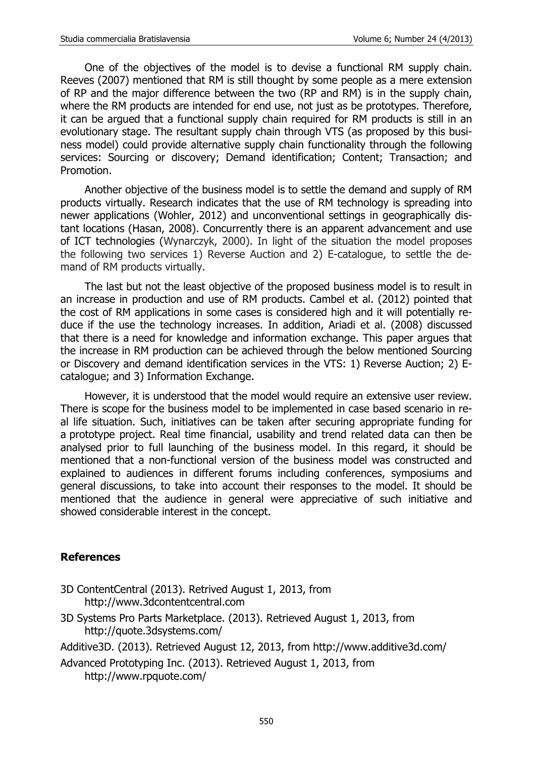One of the objectives of the model is to devise a functional RM supply chain. Reeves (2007) mentioned that RM is still thought by some people as a mere extension of RP and the major difference between the two (RP and RM) is in the supply chain, where the RM products are intended for end use, not just as be prototypes. Therefore, it can be argued that a functional supply chain required for RM products is still in an evolutionary stage. The resultant supply chain through VTS (as proposed by this business model) could provide alternative supply chain functionality through the following services: Sourcing or discovery; Demand identification; Content; Transaction; and Promotion.

Another objective of the business model is to settle the demand and supply of RM products virtually. Research indicates that the use of RM technology is spreading into newer applications (Wohler, 2012) and unconventional settings in geographically distant locations (Hasan, 2008). Concurrently there is an apparent advancement and use of ICT technologies (Wynarczyk, 2000). In light of the situation the model proposes the following two services 1) Reverse Auction and 2) E-catalogue, to settle the demand of RM products virtually.

The last but not the least objective of the proposed business model is to result in an increase in production and use of RM products. Cambel et al. (2012) pointed that the cost of RM applications in some cases is considered high and it will potentially reduce if the use the technology increases. In addition, Ariadi et al. (2008) discussed that there is a need for knowledge and information exchange. This paper argues that the increase in RM production can be achieved through the below mentioned Sourcing or Discovery and demand identification services in the VTS: 1) Reverse Auction; 2) Ecatalogue; and 3) Information Exchange.

However, it is understood that the model would require an extensive user review. There is scope for the business model to be implemented in case based scenario in real life situation. Such, initiatives can be taken after securing appropriate funding for a prototype project. Real time financial, usability and trend related data can then be analysed prior to full launching of the business model. In this regard, it should be mentioned that a non-functional version of the business model was constructed and explained to audiences in different forums including conferences, symposiums and general discussions, to take into account their responses to the model. It should be mentioned that the audience in general were appreciative of such initiative and showed considerable interest in the concept.

#### **References**

- 3D ContentCentral (2013). Retrived August 1, 2013, from http://www.3dcontentcentral.com
- 3D Systems Pro Parts Marketplace. (2013). Retrieved August 1, 2013, from http://quote.3dsystems.com/

Additive3D. (2013). Retrieved August 12, 2013, from http://www.additive3d.com/

Advanced Prototyping Inc. (2013). Retrieved August 1, 2013, from http://www.rpquote.com/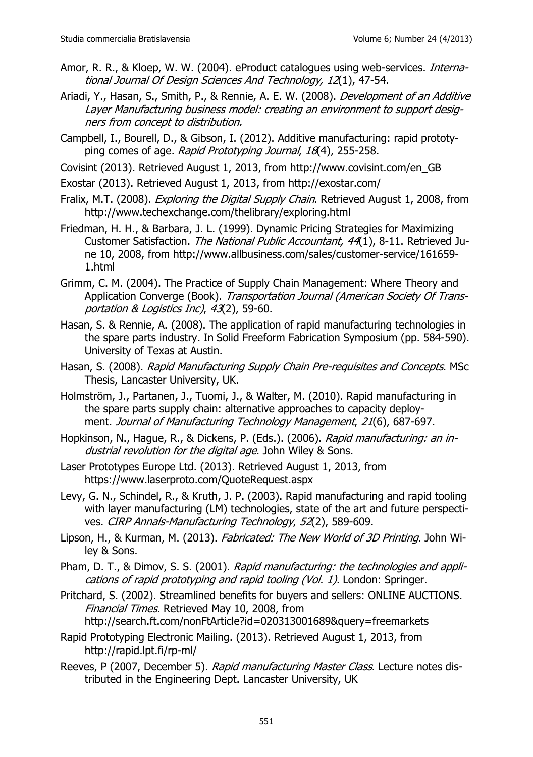- Amor, R. R., & Kloep, W. W. (2004). eProduct catalogues using web-services. International Journal Of Design Sciences And Technology, 12(1), 47-54.
- Ariadi, Y., Hasan, S., Smith, P., & Rennie, A. E. W. (2008). *Development of an Additive* Layer Manufacturing business model: creating an environment to support designers from concept to distribution.
- Campbell, I., Bourell, D., & Gibson, I. (2012). Additive manufacturing: rapid prototyping comes of age. Rapid Prototyping Journal, 18(4), 255-258.
- Covisint (2013). Retrieved August 1, 2013, from http://www.covisint.com/en\_GB
- Exostar (2013). Retrieved August 1, 2013, from http://exostar.com/
- Fralix, M.T. (2008). Exploring the Digital Supply Chain. Retrieved August 1, 2008, from http://www.techexchange.com/thelibrary/exploring.html
- Friedman, H. H., & Barbara, J. L. (1999). Dynamic Pricing Strategies for Maximizing Customer Satisfaction. The National Public Accountant, 44(1), 8-11. Retrieved June 10, 2008, from http://www.allbusiness.com/sales/customer-service/161659- 1.html
- Grimm, C. M. (2004). The Practice of Supply Chain Management: Where Theory and Application Converge (Book). Transportation Journal (American Society Of Transportation & Logistics Inc), 43(2), 59-60.
- Hasan, S. & Rennie, A. (2008). The application of rapid manufacturing technologies in the spare parts industry. In Solid Freeform Fabrication Symposium (pp. 584-590). University of Texas at Austin.
- Hasan, S. (2008). Rapid Manufacturing Supply Chain Pre-requisites and Concepts. MSc Thesis, Lancaster University, UK.
- Holmström, J., Partanen, J., Tuomi, J., & Walter, M. (2010). Rapid manufacturing in the spare parts supply chain: alternative approaches to capacity deployment. Journal of Manufacturing Technology Management, 21(6), 687-697.
- Hopkinson, N., Hague, R., & Dickens, P. (Eds.). (2006). Rapid manufacturing: an industrial revolution for the digital age. John Wiley & Sons.
- Laser Prototypes Europe Ltd. (2013). Retrieved August 1, 2013, from https://www.laserproto.com/QuoteRequest.aspx
- Levy, G. N., Schindel, R., & Kruth, J. P. (2003). Rapid manufacturing and rapid tooling with layer manufacturing (LM) technologies, state of the art and future perspectives. CIRP Annals-Manufacturing Technology, 52(2), 589-609.
- Lipson, H., & Kurman, M. (2013). Fabricated: The New World of 3D Printing. John Wiley & Sons.
- Pham, D. T., & Dimov, S. S. (2001). Rapid manufacturing: the technologies and applications of rapid prototyping and rapid tooling (Vol. 1). London: Springer.
- Pritchard, S. (2002). Streamlined benefits for buyers and sellers: ONLINE AUCTIONS. Financial Times. Retrieved May 10, 2008, from http://search.ft.com/nonFtArticle?id=020313001689&query=freemarkets
- Rapid Prototyping Electronic Mailing. (2013). Retrieved August 1, 2013, from http://rapid.lpt.fi/rp-ml/
- Reeves, P (2007, December 5). Rapid manufacturing Master Class. Lecture notes distributed in the Engineering Dept. Lancaster University, UK